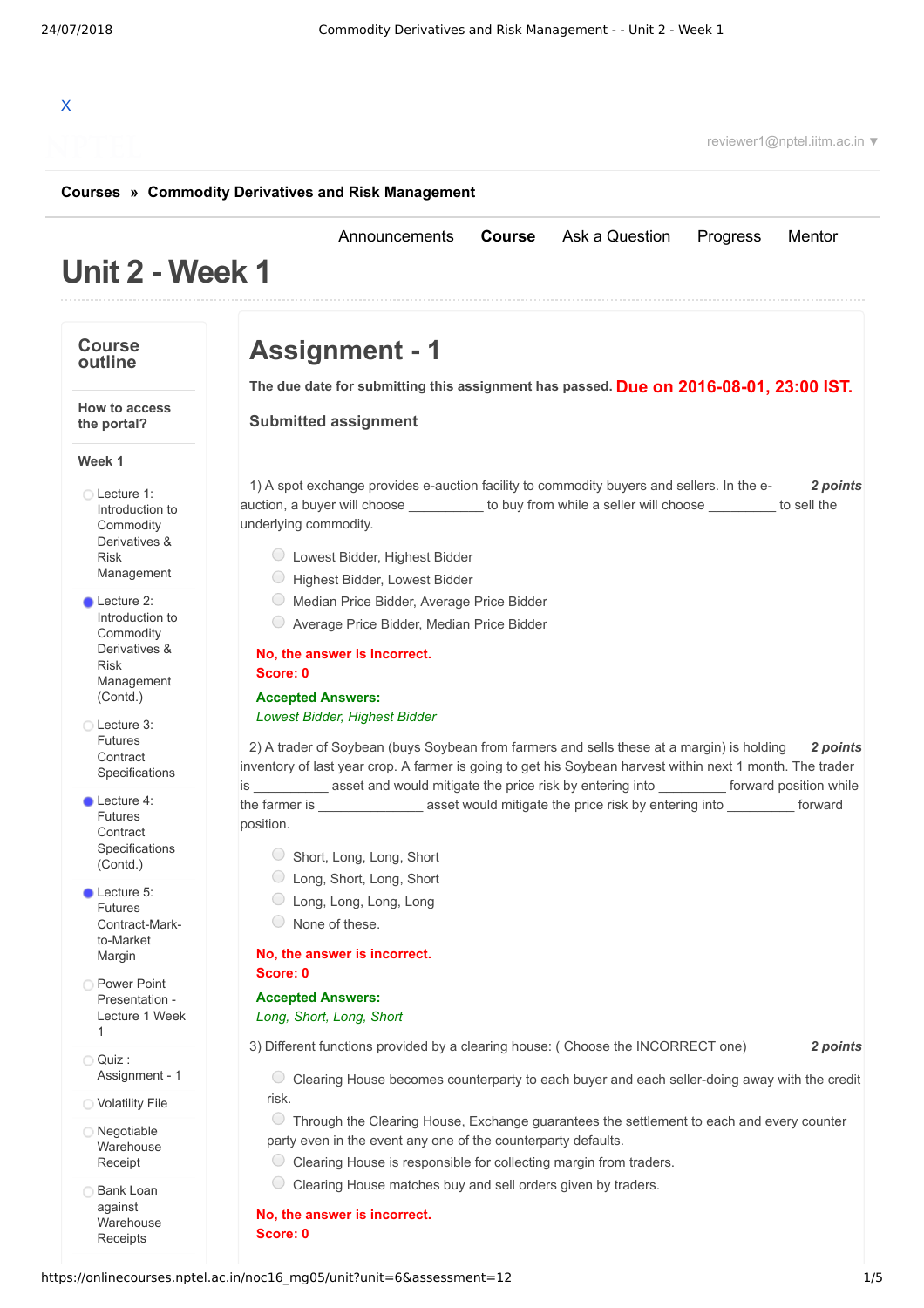# X

reviewer1@nptel.iitm.ac.in ▼

#### **[Courses](https://onlinecourses.nptel.ac.in/) » [Commodity Derivatives and Risk Management](https://onlinecourses.nptel.ac.in/noc16_mg05/course)**

# **Unit 2 - Week 1**

#### **Course outline**

**Week 1**

**How to access the portal?**

Lecture 1: Introduction to Commodity Derivatives & Risk [Management](https://onlinecourses.nptel.ac.in/noc16_mg05/unit?unit=6&lesson=7)

**Lecture 2:** Introduction to **Commodity** Derivatives & Risk [Management](https://onlinecourses.nptel.ac.in/noc16_mg05/unit?unit=6&lesson=8) (Contd.) Lecture 3: Futures **Contract** [Specifications](https://onlinecourses.nptel.ac.in/noc16_mg05/unit?unit=6&lesson=9)

Lecture 4: Futures **Contract [Specifications](https://onlinecourses.nptel.ac.in/noc16_mg05/unit?unit=6&lesson=10)** (Contd.) **Lecture 5:** Futures [Contract-Mark](https://onlinecourses.nptel.ac.in/noc16_mg05/unit?unit=6&lesson=11)to-Market Margin **Power Point** [Presentation](https://onlinecourses.nptel.ac.in/noc16_mg05/link?unit=34) - Lecture 1 Week

1 Quiz :

[Assignment](https://onlinecourses.nptel.ac.in/noc16_mg05/assessment?name=12) - 1 [Volatility](https://onlinecourses.nptel.ac.in/noc16_mg05/link?unit=14) File Negotiable [Warehouse](https://onlinecourses.nptel.ac.in/noc16_mg05/link?unit=16) Receipt **Bank Loan** against [Warehouse](https://onlinecourses.nptel.ac.in/noc16_mg05/link?unit=17) Receipts

**Assignment - 1**

**Due on 2016-08-01, 23:00 IST. The due date for submitting this assignment has passed.**

[Announcements](https://onlinecourses.nptel.ac.in/noc16_mg05/announcements) **[Course](https://onlinecourses.nptel.ac.in/noc16_mg05/course)** [Ask a Question](https://onlinecourses.nptel.ac.in/noc16_mg05/forum) [Progress](https://onlinecourses.nptel.ac.in/noc16_mg05/student/home) [Mentor](https://onlinecourses.nptel.ac.in/noc16_mg05/student/mentor)

**Submitted assignment**

1) *2 points* A spot exchange provides e-auction facility to commodity buyers and sellers. In the eauction, a buyer will choose  $\qquad \qquad$  to buy from while a seller will choose  $\qquad \qquad$  to sell the underlying commodity.

- Lowest Bidder, Highest Bidder
- Highest Bidder, Lowest Bidder
- Median Price Bidder, Average Price Bidder
- Average Price Bidder, Median Price Bidder

**No, the answer is incorrect. Score: 0**

**Accepted Answers:**

#### *Lowest Bidder, Highest Bidder*

2) *2 points* A trader of Soybean (buys Soybean from farmers and sells these at a margin) is holding inventory of last year crop. A farmer is going to get his Soybean harvest within next 1 month. The trader is \_\_\_\_\_\_\_\_\_\_ asset and would mitigate the price risk by entering into \_\_\_\_\_\_\_\_\_ forward position while the farmer is \_\_\_\_\_\_\_\_\_\_\_\_\_\_ asset would mitigate the price risk by entering into \_\_\_\_\_\_\_\_\_ forward position.

- Short, Long, Long, Short
- Long, Short, Long, Short
- Long, Long, Long, Long
- None of these.

**No, the answer is incorrect. Score: 0**

**Accepted Answers:**

*Long, Short, Long, Short*

3) *2 points* Different functions provided by a clearing house: ( Choose the INCORRECT one)

Clearing House becomes counterparty to each buyer and each seller-doing away with the credit risk.

Through the Clearing House, Exchange guarantees the settlement to each and every counter party even in the event any one of the counterparty defaults.

- $\circ$  Clearing House is responsible for collecting margin from traders.
- $\circ$  Clearing House matches buy and sell orders given by traders.

**No, the answer is incorrect.**

**Score: 0**

#### https://onlinecourses.nptel.ac.in/noc16\_mg05/unit?unit=6&assessment=12 1/5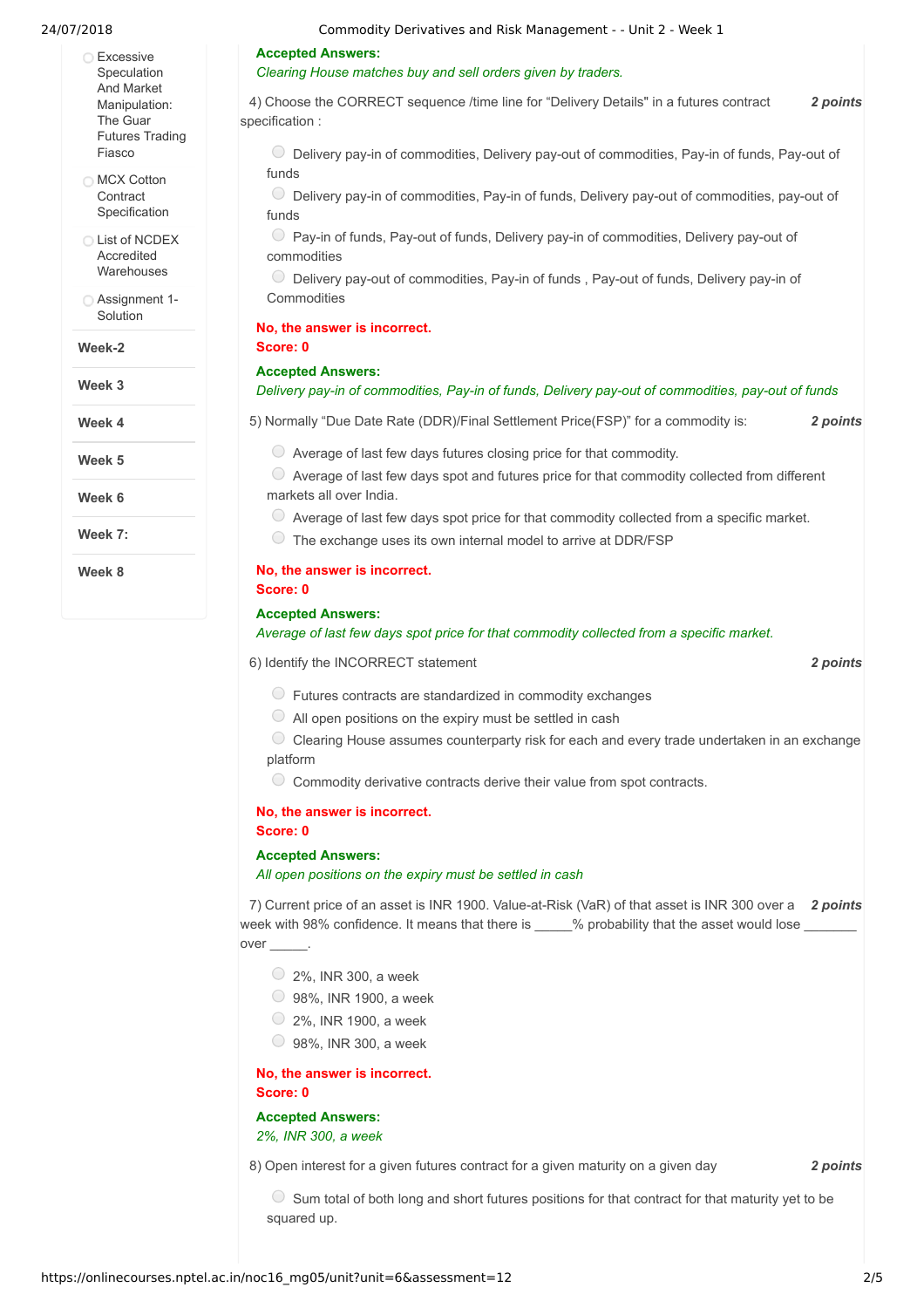- **Excessive** Speculation And Market [Manipulation:](https://onlinecourses.nptel.ac.in/noc16_mg05/link?unit=19) The Guar Futures Trading Fiasco
- **MCX Cotton Contract** [Specification](https://onlinecourses.nptel.ac.in/noc16_mg05/link?unit=23)
- **C** List of NCDEX **Accredited [Warehouses](https://onlinecourses.nptel.ac.in/noc16_mg05/link?unit=28)**
- [Assignment](https://onlinecourses.nptel.ac.in/noc16_mg05/link?unit=152) 1- Solution
- **Week-2**
- **Week 3**

**Week 4**

**Week 5**

**Week 6**

**Week 7:**

**Week 8**

#### **Accepted Answers:**

#### *Clearing House matches buy and sell orders given by traders.*

4) *2 points* Choose the CORRECT sequence /time line for "Delivery Details" in a futures contract specification : Delivery pay-in of commodities, Delivery pay-out of commodities, Pay-in of funds, Pay-out of funds

Delivery pay-in of commodities, Pay-in of funds, Delivery pay-out of commodities, pay-out of funds

Pay-in of funds, Pay-out of funds, Delivery pay-in of commodities, Delivery pay-out of commodities

 $\circlearrowright$  Delivery pay-out of commodities, Pay-in of funds, Pay-out of funds, Delivery pay-in of Commodities

#### **No, the answer is incorrect. Score: 0**

#### **Accepted Answers:**

#### *Delivery pay-in of commodities, Pay-in of funds, Delivery pay-out of commodities, pay-out of funds*

5) *2 points* Normally "Due Date Rate (DDR)/Final Settlement Price(FSP)" for a commodity is:

 $\circ$  Average of last few days futures closing price for that commodity.

 $\circ$  Average of last few days spot and futures price for that commodity collected from different markets all over India.

- Average of last few days spot price for that commodity collected from a specific market.
- $\circ$  The exchange uses its own internal model to arrive at DDR/FSP

#### **No, the answer is incorrect.**

**Score: 0**

#### **Accepted Answers:**

#### *Average of last few days spot price for that commodity collected from a specific market.*

6) *2 points* Identify the INCORRECT statement

- $\circ$  Futures contracts are standardized in commodity exchanges
- $\circ$  All open positions on the expiry must be settled in cash
- Clearing House assumes counterparty risk for each and every trade undertaken in an exchange platform
- Commodity derivative contracts derive their value from spot contracts.

## **No, the answer is incorrect.**

#### **Score: 0**

#### **Accepted Answers:**

*All open positions on the expiry must be settled in cash*

7) Current price of an asset is INR 1900. Value-at-Risk (VaR) of that asset is INR 300 over a 2 *points* week with 98% confidence. It means that there is  $\frac{1}{2}$  % probability that the asset would lose over

- $\circ$  2%. INR 300, a week
- 98%, INR 1900, a week
- $\circ$  2%. INR 1900, a week
- $\bigcirc$  98%, INR 300, a week

**No, the answer is incorrect. Score: 0**

**Accepted Answers:** *2%, INR 300, a week*

8) *2 points* Open interest for a given futures contract for a given maturity on a given day

 $\circ$  Sum total of both long and short futures positions for that contract for that maturity yet to be squared up.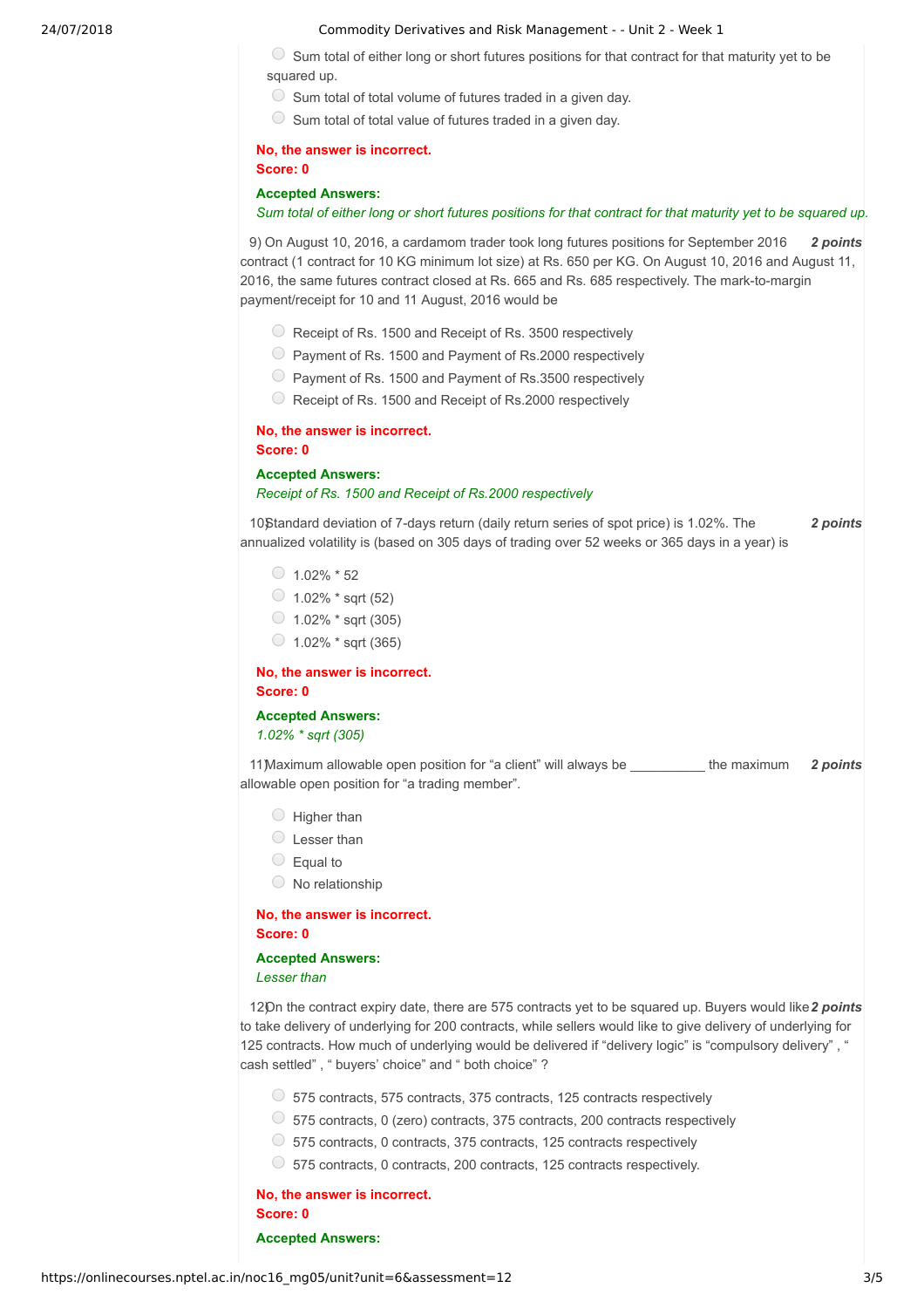#### 24/07/2018 Commodity Derivatives and Risk Management - - Unit 2 - Week 1

 $\circ$  Sum total of either long or short futures positions for that contract for that maturity yet to be squared up.

- $\circ$  Sum total of total volume of futures traded in a given day.
- $\circledcirc$  Sum total of total value of futures traded in a given day.

# **No, the answer is incorrect.**

**Score: 0**

#### **Accepted Answers:**

#### Sum total of either long or short futures positions for that contract for that maturity yet to be squared up.

9) On August 10, 2016, a cardamom trader took long futures positions for September 2016 2 **points** contract (1 contract for 10 KG minimum lot size) at Rs. 650 per KG. On August 10, 2016 and August 11, 2016, the same futures contract closed at Rs. 665 and Rs. 685 respectively. The mark-to-margin payment/receipt for 10 and 11 August, 2016 would be

- Receipt of Rs. 1500 and Receipt of Rs. 3500 respectively
- Payment of Rs. 1500 and Payment of Rs.2000 respectively
- Payment of Rs. 1500 and Payment of Rs.3500 respectively
- C Receipt of Rs. 1500 and Receipt of Rs. 2000 respectively

# **No, the answer is incorrect.**

**Score: 0**

# **Accepted Answers:** *Receipt of Rs. 1500 and Receipt of Rs.2000 respectively*

10) *2 points* Standard deviation of 7-days return (daily return series of spot price) is 1.02%. The annualized volatility is (based on 305 days of trading over 52 weeks or 365 days in a year) is

- $\bigcirc$  1.02%  $*$  52
- $\circ$  1.02%  $*$  sqrt (52)
- $\bigcirc$  1.02%  $*$  sqrt (305)
- $\circ$  1.02%  $*$  sqrt (365)

**No, the answer is incorrect. Score: 0**

**Accepted Answers:** *1.02% \* sqrt (305)*

11) Maximum allowable open position for "a client" will always be \_\_\_\_\_\_\_\_\_\_\_ the maximum 2 points allowable open position for "a trading member".

- $\bigcirc$  Higher than
- $\bigcirc$  Lesser than
- $\circ$  Equal to
- $\circ$  No relationship

**No, the answer is incorrect. Score: 0**

#### **Accepted Answers:** *Lesser than*

12) On the contract expiry date, there are 575 contracts yet to be squared up. Buyers would like 2 points to take delivery of underlying for 200 contracts, while sellers would like to give delivery of underlying for 125 contracts. How much of underlying would be delivered if "delivery logic" is "compulsory delivery" , " cash settled" , " buyers' choice" and " both choice" ?

- $\circ$  575 contracts, 575 contracts, 375 contracts, 125 contracts respectively
- $\circ$  575 contracts, 0 (zero) contracts, 375 contracts, 200 contracts respectively
- $\circ$  575 contracts, 0 contracts, 375 contracts, 125 contracts respectively
- 575 contracts, 0 contracts, 200 contracts, 125 contracts respectively.

**No, the answer is incorrect. Score: 0**

**Accepted Answers:**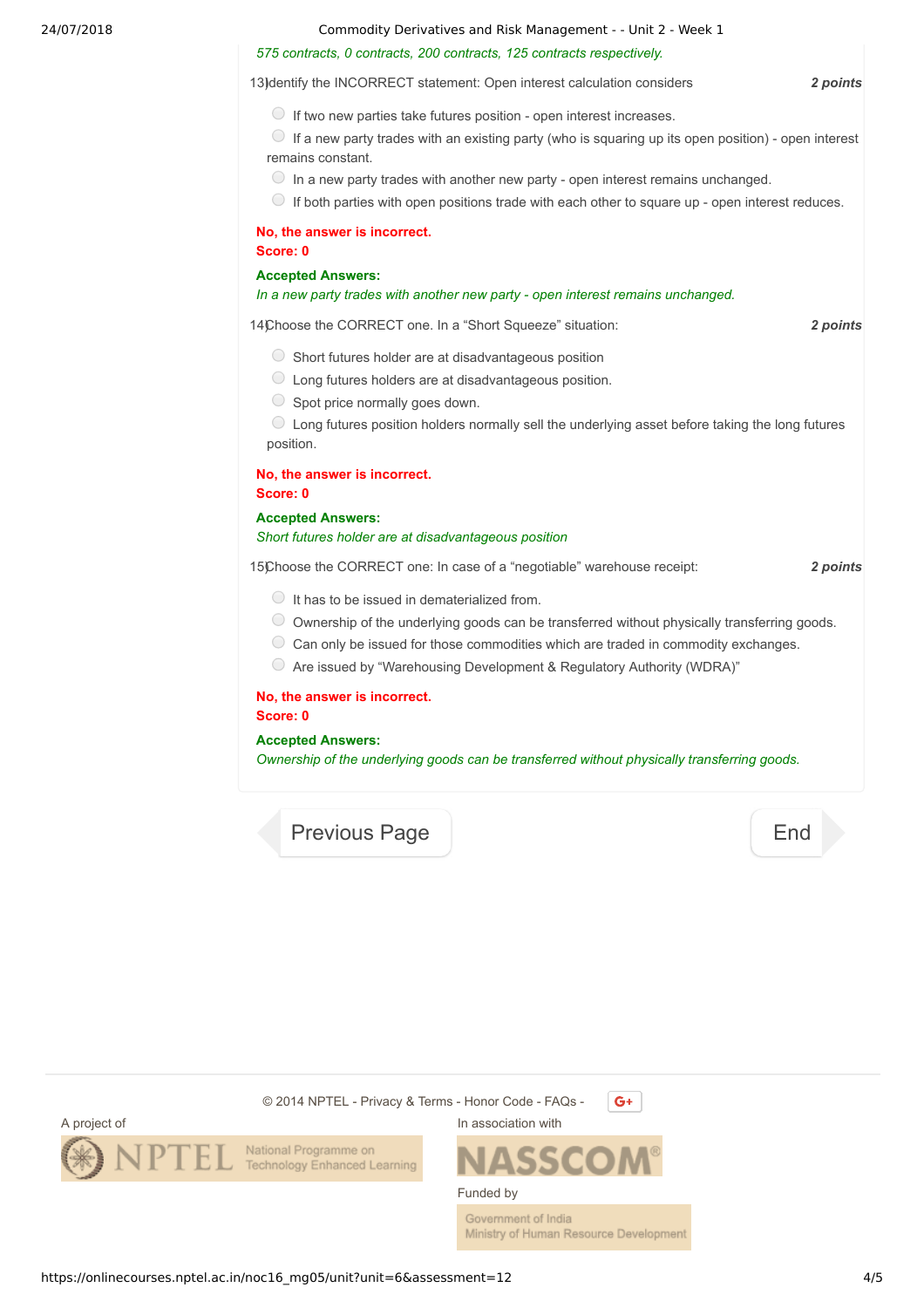24/07/2018 Commodity Derivatives and Risk Management - - Unit 2 - Week 1

#### *575 contracts, 0 contracts, 200 contracts, 125 contracts respectively.*

13) dentify the INCORRECT statement: Open interest calculation considers **2 points** 

 $\bigcirc$  If two new parties take futures position - open interest increases.

 $\circ$  If a new party trades with an existing party (who is squaring up its open position) - open interest remains constant.

- $\circ$  In a new party trades with another new party open interest remains unchanged.
- $\bigcirc$  If both parties with open positions trade with each other to square up open interest reduces.

# **No, the answer is incorrect.**

**Score: 0**

#### **Accepted Answers:**

#### *In a new party trades with another new party - open interest remains unchanged.*

14) *2 points* Choose the CORRECT one. In a "Short Squeeze" situation:

- $\circ$  Short futures holder are at disadvantageous position
- Long futures holders are at disadvantageous position.
- $\circ$  Spot price normally goes down.

Long futures position holders normally sell the underlying asset before taking the long futures position.

#### **No, the answer is incorrect.**

**Score: 0**

### **Accepted Answers:** *Short futures holder are at disadvantageous position*

15) *2 points* Choose the CORRECT one: In case of a "negotiable" warehouse receipt:

- $\bigcirc$  It has to be issued in dematerialized from.
- Ownership of the underlying goods can be transferred without physically transferring goods.
- $\circlearrowright$  Can only be issued for those commodities which are traded in commodity exchanges.
- $\circ$  Are issued by "Warehousing Development & Regulatory Authority (WDRA)"

# **No, the answer is incorrect.**

### **Score: 0**

#### **Accepted Answers:**

*Ownership of the underlying goods can be transferred without physically transferring goods.*

[Previous Page](https://onlinecourses.nptel.ac.in/noc16_mg05/unit?unit=6&lesson=11) [End](https://onlinecourses.nptel.ac.in/noc16_mg05/course)